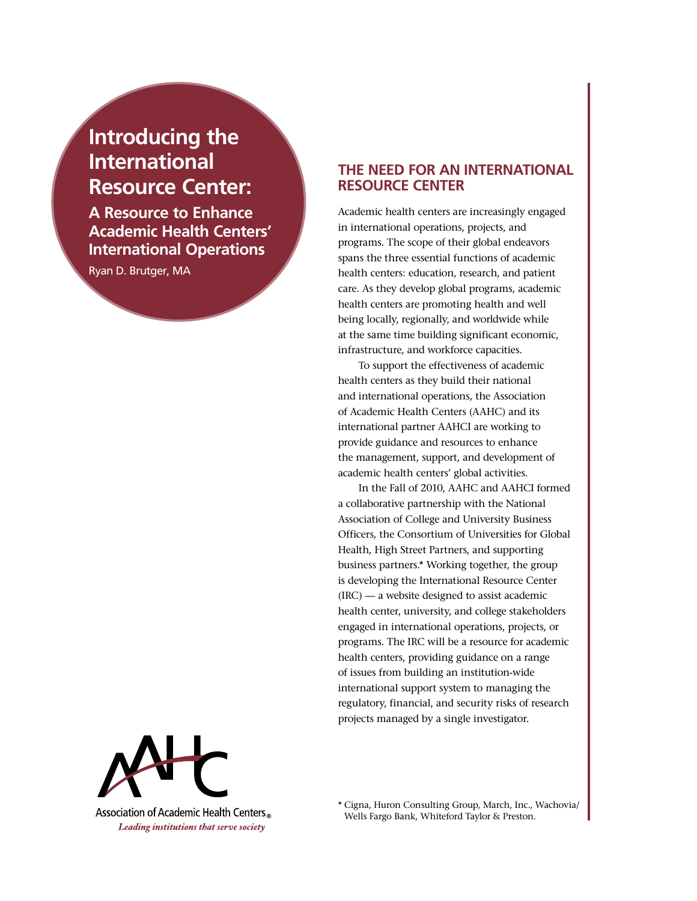# **Introducing the International Resource Center:**

**A Resource to Enhance Academic Health Centers' International Operations**

Ryan D. Brutger, MA

## **The Need for an International Resource Center**

Academic health centers are increasingly engaged in international operations, projects, and programs. The scope of their global endeavors spans the three essential functions of academic health centers: education, research, and patient care. As they develop global programs, academic health centers are promoting health and well being locally, regionally, and worldwide while at the same time building significant economic, infrastructure, and workforce capacities.

To support the effectiveness of academic health centers as they build their national and international operations, the Association of Academic Health Centers (AAHC) and its international partner AAHCI are working to provide guidance and resources to enhance the management, support, and development of academic health centers' global activities.

In the Fall of 2010, AAHC and AAHCI formed a collaborative partnership with the National Association of College and University Business Officers, the Consortium of Universities for Global Health, High Street Partners, and supporting business partners.\* Working together, the group is developing the International Resource Center (IRC) — a website designed to assist academic health center, university, and college stakeholders engaged in international operations, projects, or programs. The IRC will be a resource for academic health centers, providing guidance on a range of issues from building an institution-wide international support system to managing the regulatory, financial, and security risks of research projects managed by a single investigator.



Association of Academic Health Centers Leading institutions that serve society

\* Cigna, Huron Consulting Group, March, Inc., Wachovia/ Wells Fargo Bank, Whiteford Taylor & Preston.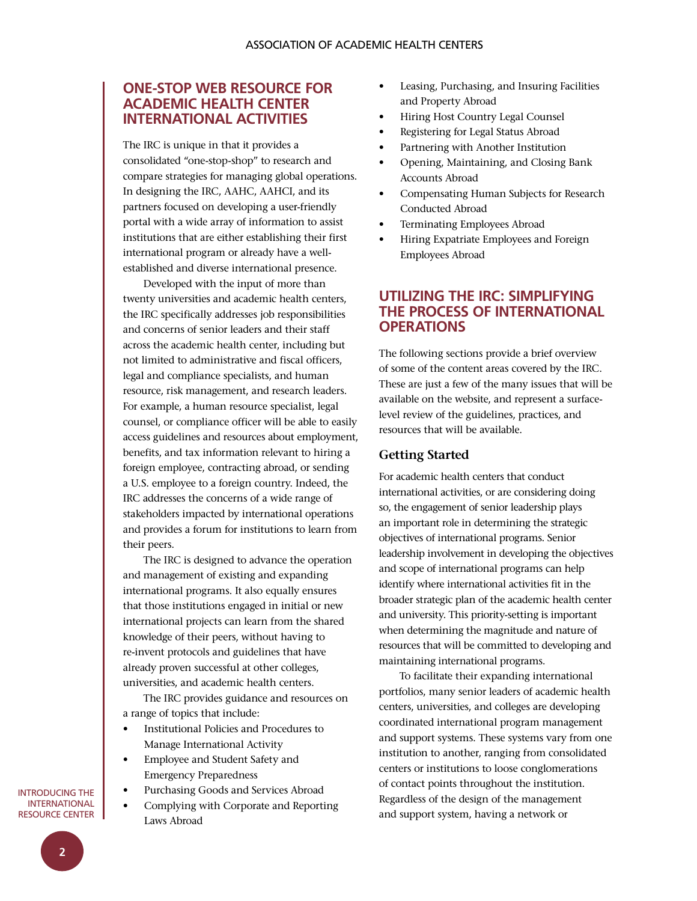## **One-Stop Web Resource for Academic Health Center International Activities**

The IRC is unique in that it provides a consolidated "one-stop-shop" to research and compare strategies for managing global operations. In designing the IRC, AAHC, AAHCI, and its partners focused on developing a user-friendly portal with a wide array of information to assist institutions that are either establishing their first international program or already have a wellestablished and diverse international presence.

Developed with the input of more than twenty universities and academic health centers, the IRC specifically addresses job responsibilities and concerns of senior leaders and their staff across the academic health center, including but not limited to administrative and fiscal officers, legal and compliance specialists, and human resource, risk management, and research leaders. For example, a human resource specialist, legal counsel, or compliance officer will be able to easily access guidelines and resources about employment, benefits, and tax information relevant to hiring a foreign employee, contracting abroad, or sending a U.S. employee to a foreign country. Indeed, the IRC addresses the concerns of a wide range of stakeholders impacted by international operations and provides a forum for institutions to learn from their peers.

The IRC is designed to advance the operation and management of existing and expanding international programs. It also equally ensures that those institutions engaged in initial or new international projects can learn from the shared knowledge of their peers, without having to re-invent protocols and guidelines that have already proven successful at other colleges, universities, and academic health centers.

The IRC provides guidance and resources on a range of topics that include:

- • Institutional Policies and Procedures to Manage International Activity
- • Employee and Student Safety and Emergency Preparedness
- • Purchasing Goods and Services Abroad
- Complying with Corporate and Reporting Laws Abroad
- Leasing, Purchasing, and Insuring Facilities and Property Abroad
- Hiring Host Country Legal Counsel
- Registering for Legal Status Abroad
- Partnering with Another Institution
- Opening, Maintaining, and Closing Bank Accounts Abroad
- Compensating Human Subjects for Research Conducted Abroad
- Terminating Employees Abroad
- Hiring Expatriate Employees and Foreign Employees Abroad

## **Utilizing the IRC: Simplifying the Process of International Operations**

The following sections provide a brief overview of some of the content areas covered by the IRC. These are just a few of the many issues that will be available on the website, and represent a surfacelevel review of the guidelines, practices, and resources that will be available.

#### **Getting Started**

For academic health centers that conduct international activities, or are considering doing so, the engagement of senior leadership plays an important role in determining the strategic objectives of international programs. Senior leadership involvement in developing the objectives and scope of international programs can help identify where international activities fit in the broader strategic plan of the academic health center and university. This priority-setting is important when determining the magnitude and nature of resources that will be committed to developing and maintaining international programs.

To facilitate their expanding international portfolios, many senior leaders of academic health centers, universities, and colleges are developing coordinated international program management and support systems. These systems vary from one institution to another, ranging from consolidated centers or institutions to loose conglomerations of contact points throughout the institution. Regardless of the design of the management and support system, having a network or

Introducing the **INTERNATIONAL** Resource Center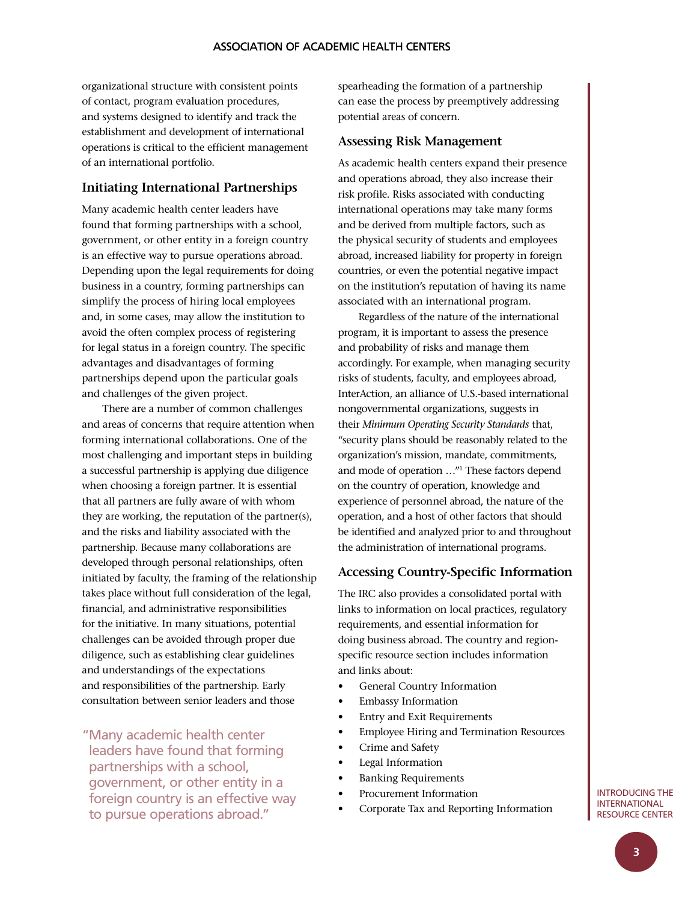organizational structure with consistent points of contact, program evaluation procedures, and systems designed to identify and track the establishment and development of international operations is critical to the efficient management of an international portfolio.

#### **Initiating International Partnerships**

Many academic health center leaders have found that forming partnerships with a school, government, or other entity in a foreign country is an effective way to pursue operations abroad. Depending upon the legal requirements for doing business in a country, forming partnerships can simplify the process of hiring local employees and, in some cases, may allow the institution to avoid the often complex process of registering for legal status in a foreign country. The specific advantages and disadvantages of forming partnerships depend upon the particular goals and challenges of the given project.

There are a number of common challenges and areas of concerns that require attention when forming international collaborations. One of the most challenging and important steps in building a successful partnership is applying due diligence when choosing a foreign partner. It is essential that all partners are fully aware of with whom they are working, the reputation of the partner(s), and the risks and liability associated with the partnership. Because many collaborations are developed through personal relationships, often initiated by faculty, the framing of the relationship takes place without full consideration of the legal, financial, and administrative responsibilities for the initiative. In many situations, potential challenges can be avoided through proper due diligence, such as establishing clear guidelines and understandings of the expectations and responsibilities of the partnership. Early consultation between senior leaders and those

"Many academic health center leaders have found that forming partnerships with a school, government, or other entity in a foreign country is an effective way to pursue operations abroad."

spearheading the formation of a partnership can ease the process by preemptively addressing potential areas of concern.

#### **Assessing Risk Management**

As academic health centers expand their presence and operations abroad, they also increase their risk profile. Risks associated with conducting international operations may take many forms and be derived from multiple factors, such as the physical security of students and employees abroad, increased liability for property in foreign countries, or even the potential negative impact on the institution's reputation of having its name associated with an international program.

Regardless of the nature of the international program, it is important to assess the presence and probability of risks and manage them accordingly. For example, when managing security risks of students, faculty, and employees abroad, InterAction, an alliance of U.S.-based international nongovernmental organizations, suggests in their *Minimum Operating Security Standards* that, "security plans should be reasonably related to the organization's mission, mandate, commitments, and mode of operation …"1 These factors depend on the country of operation, knowledge and experience of personnel abroad, the nature of the operation, and a host of other factors that should be identified and analyzed prior to and throughout the administration of international programs.

#### **Accessing Country-Specific Information**

The IRC also provides a consolidated portal with links to information on local practices, regulatory requirements, and essential information for doing business abroad. The country and regionspecific resource section includes information and links about:

- General Country Information
- • Embassy Information
- **Entry and Exit Requirements**
- **Employee Hiring and Termination Resources**
- Crime and Safety
- Legal Information
- **Banking Requirements**
- Procurement Information
- • Corporate Tax and Reporting Information

#### Introducing the **INTERNATIONAL** Resource Center